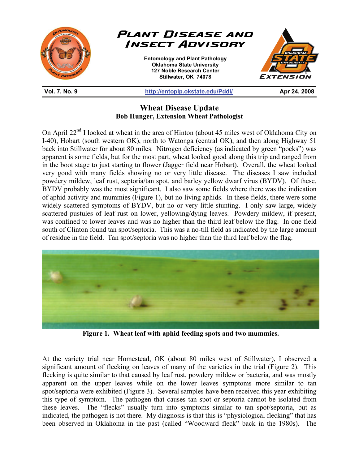

## **Wheat Disease Update Bob Hunger, Extension Wheat Pathologist**

On April 22<sup>nd</sup> I looked at wheat in the area of Hinton (about 45 miles west of Oklahoma City on I-40), Hobart (south western OK), north to Watonga (central OK), and then along Highway 51 back into Stillwater for about 80 miles. Nitrogen deficiency (as indicated by green "pocks") was apparent is some fields, but for the most part, wheat looked good along this trip and ranged from in the boot stage to just starting to flower (Jagger field near Hobart). Overall, the wheat looked very good with many fields showing no or very little disease. The diseases I saw included powdery mildew, leaf rust, septoria/tan spot, and barley yellow dwarf virus (BYDV). Of these, BYDV probably was the most significant. I also saw some fields where there was the indication of aphid activity and mummies (Figure 1), but no living aphids. In these fields, there were some widely scattered symptoms of BYDV, but no or very little stunting. I only saw large, widely scattered pustules of leaf rust on lower, yellowing/dying leaves. Powdery mildew, if present, was confined to lower leaves and was no higher than the third leaf below the flag. In one field south of Clinton found tan spot/septoria. This was a no-till field as indicated by the large amount of residue in the field. Tan spot/septoria was no higher than the third leaf below the flag.



**Figure 1. Wheat leaf with aphid feeding spots and two mummies.** 

At the variety trial near Homestead, OK (about 80 miles west of Stillwater), I observed a significant amount of flecking on leaves of many of the varieties in the trial (Figure 2). This flecking is quite similar to that caused by leaf rust, powdery mildew or bacteria, and was mostly apparent on the upper leaves while on the lower leaves symptoms more similar to tan spot/septoria were exhibited (Figure 3). Several samples have been received this year exhibiting this type of symptom. The pathogen that causes tan spot or septoria cannot be isolated from these leaves. The "flecks" usually turn into symptoms similar to tan spot/septoria, but as indicated, the pathogen is not there. My diagnosis is that this is "physiological flecking" that has been observed in Oklahoma in the past (called "Woodward fleck" back in the 1980s). The